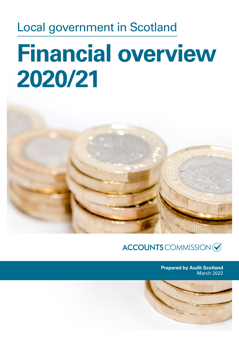## Local government in Scotland

# **Financial overview 2020/21**



ACCOUNTS COMMISSION

**Prepared by Audit Scotland** March 2022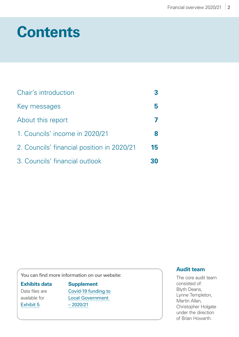## **Contents**

| Chair's introduction                       |    |
|--------------------------------------------|----|
| Key messages                               |    |
| About this report                          |    |
| 1. Councils' income in 2020/21             | 8  |
| 2. Councils' financial position in 2020/21 | 15 |
| 3. Councils' financial outlook             |    |

You can find more information on our website:

#### **Exhibits data**

Data files are available for [Exhibit 5](https://www.audit-scotland.gov.uk/uploads/docs/report/2022/nr_220310_local_government_finance.xls).

**Supplement** [Covid‑19 funding to](https://www.audit-scotland.gov.uk/uploads/docs/report/2022/nr_220310_local_government_finance_supp.pdf)  [Local Government](https://www.audit-scotland.gov.uk/uploads/docs/report/2022/nr_220310_local_government_finance_supp.pdf)  [– 2020/21](https://www.audit-scotland.gov.uk/uploads/docs/report/2022/nr_220310_local_government_finance_supp.pdf)

#### **Audit team**

The core audit team consisted of: Blyth Deans, Lynne Templeton, Martin Allan, Christopher Holgate under the direction of Brian Howarth.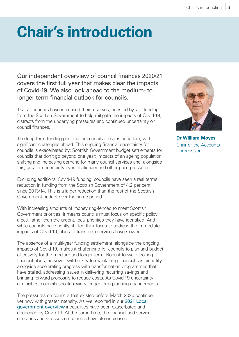## <span id="page-2-0"></span>**Chair's introduction**

Our independent overview of council finances 2020/21 covers the first full year that makes clear the impacts of Covid-19. We also look ahead to the medium- to longer-term financial outlook for councils.

That all councils have increased their reserves, boosted by late funding from the Scottish Government to help mitigate the impacts of Covid-19, distracts from the underlying pressures and continued uncertainty on council finances.

The long-term funding position for councils remains uncertain, with significant challenges ahead. This ongoing financial uncertainty for councils is exacerbated by: Scottish Government budget settlements for councils that don't go beyond one year; impacts of an ageing population; shifting and increasing demand for many council services and, alongside this, greater uncertainty over inflationary and other price pressures.

Excluding additional Covid-19 funding, councils have seen a real terms reduction in funding from the Scottish Government of 4.2 per cent since 2013/14. This is a larger reduction than the rest of the Scottish Government budget over the same period.

With increasing amounts of money ring-fenced to meet Scottish Government priorities, it means councils must focus on specific policy areas, rather than the urgent, local priorities they have identified. And while councils have rightly shifted their focus to address the immediate impacts of Covid-19, plans to transform services have slowed.

The absence of a multi-year funding settlement, alongside the ongoing impacts of Covid-19, makes it challenging for councils to plan and budget effectively for the medium and longer term. Robust forward looking financial plans, however, will be key to maintaining financial sustainability, alongside accelerating progress with transformation programmes that have stalled, addressing issues in delivering recurring savings and bringing forward proposals to reduce costs. As Covid-19 uncertainty diminishes, councils should review longer-term planning arrangements.

The pressures on councils that existed before March 2020 continue, yet now with greater intensity. As we reported in our [2021 Local](https://www.audit-scotland.gov.uk/publications/local-government-in-scotland-overview-2021)  [government overview](https://www.audit-scotland.gov.uk/publications/local-government-in-scotland-overview-2021) inequalities have been exacerbated and deepened by Covid-19. At the same time, the financial and service demands and stresses on councils have also increased.



**Dr William Moyes** Chair of the Accounts Commission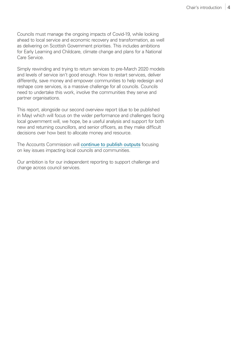Councils must manage the ongoing impacts of Covid-19, while looking ahead to local service and economic recovery and transformation, as well as delivering on Scottish Government priorities. This includes ambitions for Early Learning and Childcare, climate change and plans for a National Care Service.

Simply rewinding and trying to return services to pre-March 2020 models and levels of service isn't good enough. How to restart services, deliver differently, save money and empower communities to help redesign and reshape core services, is a massive challenge for all councils. Councils need to undertake this work, involve the communities they serve and partner organisations.

This report, alongside our second overview report (due to be published in May) which will focus on the wider performance and challenges facing local government will, we hope, be a useful analysis and support for both new and returning councillors, and senior officers, as they make difficult decisions over how best to allocate money and resource.

The Accounts Commission will [continue to publish outputs](https://www.audit-scotland.gov.uk/our-work/our-work-programme) focusing on key issues impacting local councils and communities.

Our ambition is for our independent reporting to support challenge and change across council services.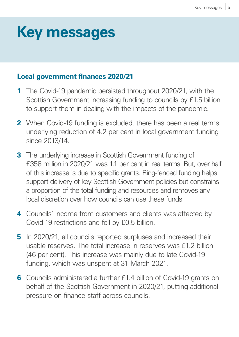## <span id="page-4-0"></span>**Key messages**

### **Local government finances 2020/21**

- **1** The Covid-19 pandemic persisted throughout 2020/21, with the Scottish Government increasing funding to councils by £1.5 billion to support them in dealing with the impacts of the pandemic.
- **2** When Covid-19 funding is excluded, there has been a real terms underlying reduction of 4.2 per cent in local government funding since 2013/14.
- **3** The underlying increase in Scottish Government funding of £358 million in 2020/21 was 1.1 per cent in real terms. But, over half of this increase is due to specific grants. Ring-fenced funding helps support delivery of key Scottish Government policies but constrains a proportion of the total funding and resources and removes any local discretion over how councils can use these funds.
- **4** Councils' income from customers and clients was affected by Covid-19 restrictions and fell by £0.5 billion.
- **5** In 2020/21, all councils reported surpluses and increased their usable reserves. The total increase in reserves was £1.2 billion (46 per cent). This increase was mainly due to late Covid-19 funding, which was unspent at 31 March 2021.
- **6** Councils administered a further £1.4 billion of Covid-19 grants on behalf of the Scottish Government in 2020/21, putting additional pressure on finance staff across councils.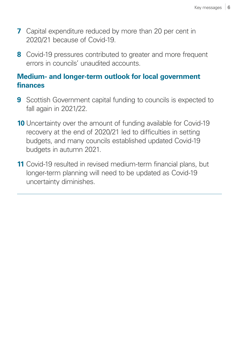- **7** Capital expenditure reduced by more than 20 per cent in 2020/21 because of Covid-19.
- **8** Covid-19 pressures contributed to greater and more frequent errors in councils' unaudited accounts.

### **Medium- and longer-term outlook for local government finances**

- **9** Scottish Government capital funding to councils is expected to fall again in 2021/22.
- **10** Uncertainty over the amount of funding available for Covid-19 recovery at the end of 2020/21 led to difficulties in setting budgets, and many councils established updated Covid-19 budgets in autumn 2021.
- **11** Covid-19 resulted in revised medium-term financial plans, but longer-term planning will need to be updated as Covid-19 uncertainty diminishes.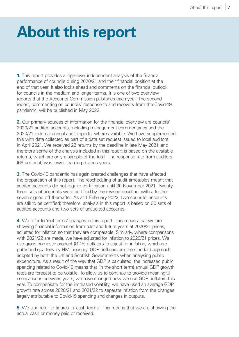## <span id="page-6-0"></span>**About this report**

**1.** This report provides a high-level independent analysis of the financial performance of councils during 2020/21 and their financial position at the end of that year. It also looks ahead and comments on the financial outlook for councils in the medium and longer terms. It is one of two overview reports that the Accounts Commission publishes each year. The second report, commenting on councils' response to and recovery from the Covid-19 pandemic, will be published in May 2022.

**2.** Our primary sources of information for the financial overview are councils' 2020/21 audited accounts, including management commentaries and the 2020/21 external annual audit reports, where available. We have supplemented this with data collected as part of a data set request issued to local auditors in April 2021. We received 22 returns by the deadline in late May 2021, and therefore some of the analysis included in this report is based on the available returns, which are only a sample of the total. The response rate from auditors (69 per cent) was lower than in previous years.

**3.** The Covid-19 pandemic has again created challenges that have affected the preparation of this report. The rescheduling of audit timetables meant that audited accounts did not require certification until 30 November 2021. Twentythree sets of accounts were certified by the revised deadline, with a further seven signed off thereafter. As at 1 February 2022, two councils' accounts are still to be certified; therefore, analysis in this report is based on 30 sets of audited accounts and two sets of unaudited accounts.

**4.** We refer to 'real terms' changes in this report. This means that we are showing financial information from past and future years at 2020/21 prices, adjusted for inflation so that they are comparable. Similarly, where comparisons with 2021/22 are made, we have adjusted for inflation to 2020/21 prices. We use gross domestic product (GDP) deflators to adjust for inflation, which are published quarterly by HM Treasury. GDP deflators are the standard approach adopted by both the UK and Scottish Governments when analysing public expenditure. As a result of the way that GDP is calculated, the increased public spending related to Covid-19 means that (in the short term) annual GDP growth rates are forecast to be volatile. To allow us to continue to provide meaningful comparisons between years, we have changed how we use GDP deflators this year. To compensate for the increased volatility, we have used an average GDP growth rate across 2020/21 and 2021/22 to separate inflation from the changes largely attributable to Covid-19 spending and changes in outputs.

**5.** We also refer to figures in 'cash terms'. This means that we are showing the actual cash or money paid or received.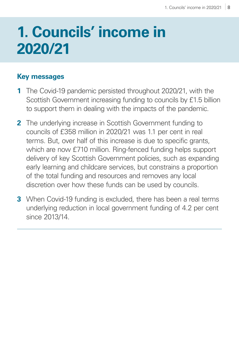## <span id="page-7-0"></span>**1. Councils' income in**  $\blacksquare$ **2020/21**

## **Key messages**

- **1** The Covid-19 pandemic persisted throughout 2020/21, with the Scottish Government increasing funding to councils by £1.5 billion to support them in dealing with the impacts of the pandemic.
- **2** The underlying increase in Scottish Government funding to councils of £358 million in 2020/21 was 1.1 per cent in real terms. But, over half of this increase is due to specific grants, which are now £710 million. Ring-fenced funding helps support delivery of key Scottish Government policies, such as expanding early learning and childcare services, but constrains a proportion of the total funding and resources and removes any local discretion over how these funds can be used by councils.
- **3** When Covid-19 funding is excluded, there has been a real terms underlying reduction in local government funding of 4.2 per cent since 2013/14.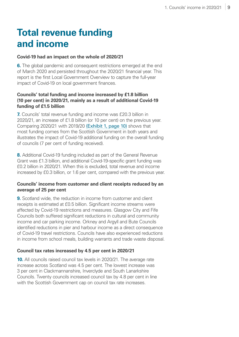## **Total revenue funding and income**

#### **Covid-19 had an impact on the whole of 2020/21**

**6.** The global pandemic and consequent restrictions emerged at the end of March 2020 and persisted throughout the 2020/21 financial year. This report is the first Local Government Overview to capture the full-year impact of Covid-19 on local government finances.

#### **Councils' total funding and income increased by £1.8 billion (10 per cent) in 2020/21, mainly as a result of additional Covid-19 funding of £1.5 billion**

<span id="page-8-0"></span>**7.** Councils' total revenue funding and income was £20.3 billion in 2020/21, an increase of £1.8 billion (or 10 per cent) on the previous year. Comparing 2020/21 with 2019/20 [\(Exhibit 1, page 10\)](#page-9-0) shows that most funding comes from the Scottish Government in both years and illustrates the impact of Covid-19 additional funding on the overall funding of councils (7 per cent of funding received).

**8.** Additional Covid-19 funding included as part of the General Revenue Grant was £1.3 billion, and additional Covid-19-specific grant funding was £0.2 billion in 2020/21. When this is excluded, total revenue and income increased by £0.3 billion, or 1.6 per cent, compared with the previous year.

#### **Councils' income from customer and client receipts reduced by an average of 25 per cent**

**9.** Scotland wide, the reduction in income from customer and client receipts is estimated at £0.5 billion. Significant income streams were affected by Covid-19 restrictions and measures. Glasgow City and Fife Councils both suffered significant reductions in cultural and community income and car parking income. Orkney and Argyll and Bute Councils identified reductions in pier and harbour income as a direct consequence of Covid-19 travel restrictions. Councils have also experienced reductions in income from school meals, building warrants and trade waste disposal.

#### **Council tax rates increased by 4.5 per cent in 2020/21**

**10.** All councils raised council tax levels in 2020/21. The average rate increase across Scotland was 4.5 per cent. The lowest increase was 3 per cent in Clackmannanshire, Inverclyde and South Lanarkshire Councils. Twenty councils increased council tax by 4.8 per cent in line with the Scottish Government cap on council tax rate increases.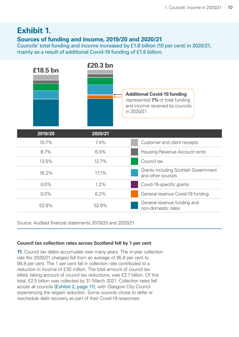## <span id="page-9-0"></span>**Exhibit 1.**

#### **Sources of funding and income, 2019/20 and 2020/21**

Councils' total funding and income increased by £1.8 billion (10 per cent) in 2020/21, mainly as a result of additional Covid-19 funding of £1.5 billion.

| £18.5 bn | £20.3 bn | <b>Additional Covid-19 funding</b><br>represented 7% of total funding<br>and income received by councils<br>in 2020/21 |  |  |  |
|----------|----------|------------------------------------------------------------------------------------------------------------------------|--|--|--|
| 2019/20  | 2020/21  |                                                                                                                        |  |  |  |
| 10.7%    | 7.4%     | Customer and client receipts                                                                                           |  |  |  |
| 6.7%     | 6.5%     | Housing Revenue Account rents                                                                                          |  |  |  |
| 13.5%    | 12.7%    | Council tax                                                                                                            |  |  |  |
| 16.2%    | 17.1%    | <b>Grants including Scottish Government</b><br>and other sources                                                       |  |  |  |
| 0.0%     | 1.2%     | Covid-19-specific grants                                                                                               |  |  |  |
| 0.0%     | 6.2%     | General revenue Covid-19 funding                                                                                       |  |  |  |
| 52.9%    | 52.9%    | General revenue funding and<br>non-domestic rates                                                                      |  |  |  |

Source: Audited financial statements 2019/20 and 2020/21

#### **Council tax collection rates across Scotland fell by 1 per cent**

**11.** Council tax debts accumulate over many years. The in-year collection rate (for 2020/21 charges) fell from an average of 95.8 per cent to 94.8 per cent. The 1 per cent fall in collection rate contributed to a reduction in income of £30 million. The total amount of council tax billed, taking account of council tax reductions, was £2.7 billion. Of this total, £2.5 billion was collected by 31 March 2021. Collection rates fell across all councils [\(Exhibit 2, page 11\)](#page-10-0), with Glasgow City Council experiencing the largest reduction. Some councils chose to defer or reschedule debt recovery as part of their Covid-19 responses.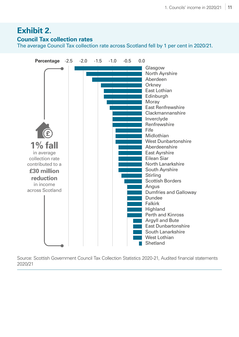## <span id="page-10-0"></span>**Exhibit 2.**

#### **Council Tax collection rates**

The average Council Tax collection rate across Scotland fell by 1 per cent in 2020/21.



Source: Scottish Government Council Tax Collection Statistics 2020-21, Audited financial statements 2020/21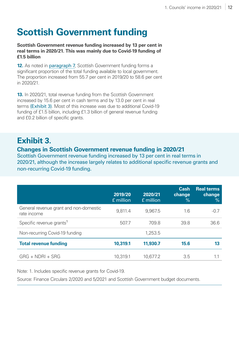## **Scottish Government funding**

**Scottish Government revenue funding increased by 13 per cent in real terms in 2020/21. This was mainly due to Covid-19 funding of £1.5 billion**

**12.** As noted in [paragraph 7](#page-8-0), Scottish Government funding forms a significant proportion of the total funding available to local government. The proportion increased from 55.7 per cent in 2019/20 to 58.6 per cent in 2020/21.

**13.** In 2020/21, total revenue funding from the Scottish Government increased by 15.6 per cent in cash terms and by 13.0 per cent in real terms [\(Exhibit 3\)](#page-11-0). Most of this increase was due to additional Covid-19 funding of £1.5 billion, including £1.3 billion of general revenue funding and £0.2 billion of specific grants.

## <span id="page-11-0"></span>**Exhibit 3.**

#### **Changes in Scottish Government revenue funding in 2020/21**

Scottish Government revenue funding increased by 13 per cent in real terms in 2020/21, although the increase largely relates to additional specific revenue grants and non-recurring Covid‑19 funding.

|                                                       | 2019/20<br>£ million | 2020/21<br>£ million | <b>Cash</b><br>change<br>$\frac{9}{6}$ | <b>Real terms</b><br>change<br>$\frac{9}{6}$ |
|-------------------------------------------------------|----------------------|----------------------|----------------------------------------|----------------------------------------------|
| General revenue grant and non-domestic<br>rate income | 9,811.4              | 9,967.5              | 1.6                                    | $-0.7$                                       |
| Specific revenue grants <sup>1</sup>                  | 507.7                | 709.8                | 39.8                                   | 36.6                                         |
| Non-recurring Covid-19 funding                        |                      | 1,253.5              |                                        |                                              |
| <b>Total revenue funding</b>                          | 10,319.1             | 11,930.7             | 15.6                                   | 13                                           |
| $GRG + NDRI + SRG$                                    | 10,319.1             | 10.677.2             | 3.5                                    |                                              |

Note: 1. Includes specific revenue grants for Covid-19.

Source: Finance Circulars 2/2020 and 5/2021 and Scottish Government budget documents.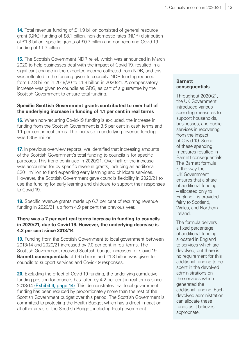**14.** Total revenue funding of £11.9 billion consisted of general resource grant (GRG) funding of £8.1 billion, non-domestic rates (NDR) distribution of £1.8 billion, specific grants of £0.7 billion and non-recurring Covid-19 funding of £1.3 billion.

**15.** The Scottish Government NDR relief, which was announced in March 2020 to help businesses deal with the impact of Covid-19, resulted in a significant change in the expected income collected from NDR, and this was reflected in the funding given to councils. NDR funding reduced from £2.8 billion in 2019/20 to £1.8 billion in 2020/21. A compensatory increase was given to councils as GRG, as part of a guarantee by the Scottish Government to ensure total funding.

#### **Specific Scottish Government grants contributed to over half of the underlying increase in funding of 1.1 per cent in real terms**

**16.** When non-recurring Covid-19 funding is excluded, the increase in funding from the Scottish Government is 3.5 per cent in cash terms and 1.1 per cent in real terms. The increase in underlying revenue funding was £358 million.

**17.** In previous overview reports, we identified that increasing amounts of the Scottish Government's total funding to councils is for specific purposes. This trend continued in 2020/21. Over half of the increase was accounted for by specific revenue grants, including an additional £201 million to fund expanding early learning and childcare services. However, the Scottish Government gave councils flexibility in 2020/21 to use the funding for early learning and childcare to support their responses to Covid-19.

**18.** Specific revenue grants made up 6.7 per cent of recurring revenue funding in 2020/21, up from 4.9 per cent the previous year.

#### **There was a 7 per cent real terms increase in funding to councils in 2020/21, due to Covid-19. However, the underlying decrease is 4.2 per cent since 2013/14**

**19.** Funding from the Scottish Government to local government between 2013/14 and 2020/21 increased by 7.0 per cent in real terms. The Scottish Government received Scottish budget increases for Covid-19 **Barnett consequentials** of £9.5 billion and £1.3 billion was given to councils to support services and Covid-19 responses.

**20.** Excluding the effect of Covid-19 funding, the underlying cumulative funding position for councils has fallen by 4.2 per cent in real terms since 2013/14 [\(Exhibit 4, page 14\)](#page-13-0). This demonstrates that local government funding has been reduced by proportionately more than the rest of the Scottish Government budget over this period. The Scottish Government is committed to protecting the Health Budget which has a direct impact on all other areas of the Scottish Budget, including local government.

#### **Barnett consequentials**

Throughout 2020/21, the UK Government introduced various spending measures to support households, businesses, and public services in recovering from the impact of Covid-19. Some of these spending measures resulted in Barnett consequentials. The Barnett formula is the way the UK Government ensures that a share of additional funding – allocated only to England – is provided fairly to Scotland. Wales, and Northern Ireland.

The formula delivers a fixed percentage of additional funding allocated in England to services which are devolved, but there is no requirement for this additional funding to be spent in the devolved administrations on the services which generated the additional funding. Each devolved administration can allocate these funds as it believes appropriate.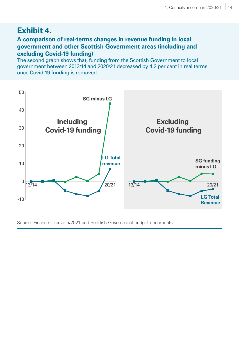## <span id="page-13-0"></span>**Exhibit 4.**

#### **A comparison of real-terms changes in revenue funding in local government and other Scottish Government areas (including and excluding Covid-19 funding)**

The second graph shows that, funding from the Scottish Government to local government between 2013/14 and 2020/21 decreased by 4.2 per cent in real terms once Covid‑19 funding is removed.



Source: Finance Circular 5/2021 and Scottish Government budget documents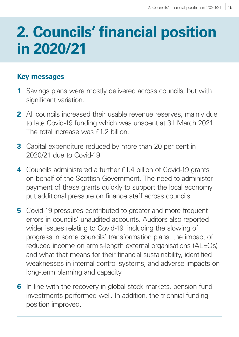## <span id="page-14-0"></span>**2. Councils' financial position in 2020/21**

### **Key messages**

- **1** Savings plans were mostly delivered across councils, but with significant variation.
- **2** All councils increased their usable revenue reserves, mainly due to late Covid-19 funding which was unspent at 31 March 2021. The total increase was £1.2 billion.
- **3** Capital expenditure reduced by more than 20 per cent in 2020/21 due to Covid-19.
- **4** Councils administered a further £1.4 billion of Covid-19 grants on behalf of the Scottish Government. The need to administer payment of these grants quickly to support the local economy put additional pressure on finance staff across councils.
- **5** Covid-19 pressures contributed to greater and more frequent errors in councils' unaudited accounts. Auditors also reported wider issues relating to Covid-19, including the slowing of progress in some councils' transformation plans, the impact of reduced income on arm's-length external organisations (ALEOs) and what that means for their financial sustainability, identified weaknesses in internal control systems, and adverse impacts on long-term planning and capacity.
- **6** In line with the recovery in global stock markets, pension fund investments performed well. In addition, the triennial funding position improved.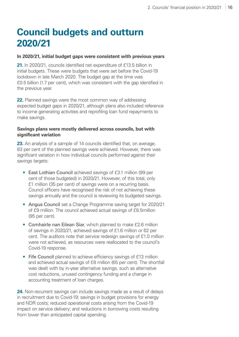## **Council budgets and outturn 2020/21**

#### **In 2020/21, initial budget gaps were consistent with previous years**

**21.** In 2020/21, councils identified net expenditure of £13.5 billion in initial budgets. These were budgets that were set before the Covid-19 lockdown in late March 2020. The budget gap at the time was £0.5 billion (1.7 per cent), which was consistent with the gap identified in the previous year.

**22.** Planned savings were the most common way of addressing expected budget gaps in 2020/21, although plans also included reference to income generating activities and reprofiling loan fund repayments to make savings.

#### **Savings plans were mostly delivered across councils, but with significant variation**

23. An analysis of a sample of 14 councils identified that, on average, 83 per cent of the planned savings were achieved. However, there was significant variation in how individual councils performed against their savings targets:

- East Lothian Council achieved savings of £3.1 million (99 per cent of those budgeted) in 2020/21. However, of this total, only £1 million (35 per cent) of savings were on a recurring basis. Council officers have recognised the risk of not achieving these savings annually and the council is reviewing its budgeted savings.
- Angus Council set a Change Programme saving target for 2020/21 of £9 million. The council achieved actual savings of £8.5million (95 per cent).
- Comhairle nan Eilean Siar, which planned to make £2.6 million of savings in 2020/21, achieved savings of £1.6 million or 62 per cent. The auditors note that service redesign savings of £1.0 million were not achieved, as resources were reallocated to the council's Covid-19 response.
- Fife Council planned to achieve efficiency savings of £13 million and achieved actual savings of £8 million (65 per cent). The shortfall was dealt with by in-year alternative savings, such as alternative cost reductions, unused contingency funding and a change in accounting treatment of loan charges.

**24.** Non-recurrent savings can include savings made as a result of delays in recruitment due to Covid-19; savings in budget provisions for energy and NDR costs; reduced operational costs arising from the Covid-19 impact on service delivery; and reductions in borrowing costs resulting from lower than anticipated capital spending.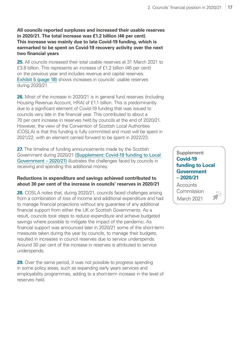#### **All councils reported surpluses and increased their usable reserves in 2020/21. The total increase was £1.2 billion (46 per cent). This increase was mainly due to late Covid-19 funding, which is earmarked to be spent on Covid-19 recovery activity over the next two financial years**

**25.** All councils increased their total usable reserves at 31 March 2021 to £3.8 billion. This represents an increase of £1.2 billion (46 per cent) on the previous year and includes revenue and capital reserves. [Exhibit 5 \(page 18\)](#page-17-0) shows increases in councils' usable reserves during 2020/21.

**26.** Most of the increase in 2020/21 is in general fund reserves (including Housing Revenue Account, HRA) of £1.1 billion. This is predominantly due to a significant element of Covid-19 funding that was issued to councils very late in the financial year. This contributed to about a 70 per cent increase in reserves held by councils at the end of 2020/21. However, the view of the Convention of Scottish Local Authorities (COSLA) is that this funding is fully committed and most will be spent in 2021/22, with an element carried forward to be spent in 2022/23.

**27.** The timeline of funding announcements made by the Scottish Government during 2020/21 [\(Supplement: Covid‑19 funding to Local](https://www.audit-scotland.gov.uk/uploads/docs/report/2022/nr_220310_local_government_finance_supp.pdf)  [Government – 2020/21\)](https://www.audit-scotland.gov.uk/uploads/docs/report/2022/nr_220310_local_government_finance_supp.pdf) illustrates the challenges faced by councils in receiving and spending this additional money.

#### **Reductions in expenditure and savings achieved contributed to about 30 per cent of the increase in councils' reserves in 2020/21**

**28.** COSLA notes that, during 2020/21, councils faced challenges arising from a combination of loss of income and additional expenditure and had to manage financial projections without any guarantee of any additional financial support from either the UK or Scottish Governments. As a result, councils took steps to reduce expenditure and achieve budgeted savings where possible to mitigate the impact of the pandemic. As financial support was announced later in 2020/21 some of the short-term measures taken during the year by councils, to manage their budgets, resulted in increases in council reserves due to service underspends. Around 30 per cent of the increase in reserves is attributed to service underspends.

**29.** Over the same period, it was not possible to progress spending in some policy areas, such as expanding early years services and employability programmes, adding to a short-term increase in the level of reserves held.

#### Supplement: **[Covid-19](https://www.audit-scotland.gov.uk/uploads/docs/report/2022/nr_220310_local_government_finance_supp.pdf)  [funding to Local](https://www.audit-scotland.gov.uk/uploads/docs/report/2022/nr_220310_local_government_finance_supp.pdf)  [Government](https://www.audit-scotland.gov.uk/uploads/docs/report/2022/nr_220310_local_government_finance_supp.pdf)  [– 2020/21](https://www.audit-scotland.gov.uk/uploads/docs/report/2022/nr_220310_local_government_finance_supp.pdf)**

**Accounts** Commission March 2021

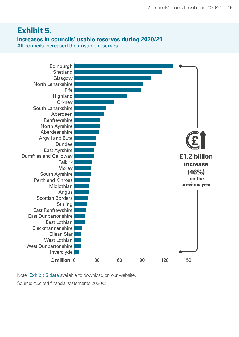### <span id="page-17-0"></span>**Exhibit 5.**

#### **Increases in councils' usable reserves during 2020/21**

All councils increased their usable reserves.



Note: [Exhibit 5 data](https://www.audit-scotland.gov.uk/uploads/docs/report/2022/nr_220310_local_government_finance.xls) available to download on our website.

Source: Audited financial statements 2020/21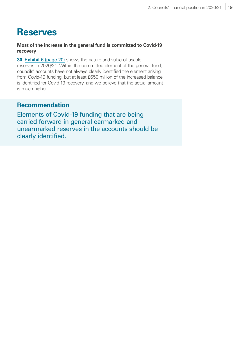## **Reserves**

**Most of the increase in the general fund is committed to Covid-19 recovery** 

**30.** [Exhibit 6 \(page 20\)](#page-19-0) shows the nature and value of usable reserves in 2020/21. Within the committed element of the general fund, councils' accounts have not always clearly identified the element arising from Covid-19 funding, but at least £650 million of the increased balance is identified for Covid-19 recovery, and we believe that the actual amount is much higher.

#### **Recommendation**

Elements of Covid-19 funding that are being carried forward in general earmarked and unearmarked reserves in the accounts should be clearly identified.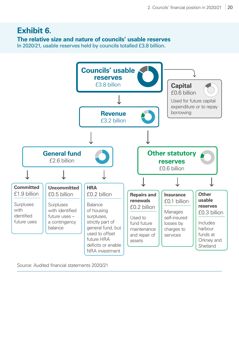## <span id="page-19-0"></span>**Exhibit 6.**

#### **The relative size and nature of councils' usable reserves**

In 2020/21, usable reserves held by councils totalled £3.8 billion.



Source: Audited financial statements 2020/21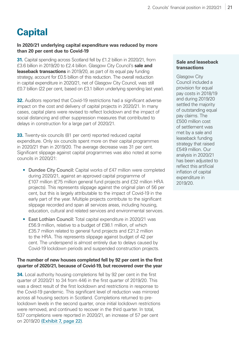## **Capital**

#### **In 2020/21 underlying capital expenditure was reduced by more than 20 per cent due to Covid-19**

**31.** Capital spending across Scotland fell by £1.2 billion in 2020/21, from £3.6 billion in 2019/20 to £2.4 billion. Glasgow City Council's **sale and leaseback transactions** in 2019/20, as part of its equal pay funding strategy, account for £0.5 billion of this reduction. The overall reduction in capital expenditure in 2020/21, net of Glasgow City Council, was still £0.7 billion (22 per cent, based on £3.1 billion underlying spending last year).

**32.** Auditors reported that Covid-19 restrictions had a significant adverse impact on the cost and delivery of capital projects in 2020/21. In many cases, capital plans were revised to reflect lockdown and the impact of social distancing and other suppression measures that contributed to delays in construction for a large part of 2020/21.

**33.** Twenty-six councils (81 per cent) reported reduced capital expenditure. Only six councils spent more on their capital programmes in 2020/21 than in 2019/20. The average decrease was 31 per cent. Significant slippage against capital programmes was also noted at some councils in 2020/21:

- Dundee City Council: Capital works of £47 million were completed during 2020/21, against an approved capital programme of £107 million (£75 million general fund projects and £32 million HRA projects). This represents slippage against the original plan of 56 per cent, but this is largely attributable to the impact of Covid-19 in the early part of the year. Multiple projects contribute to the significant slippage recorded and span all services areas, including housing, education, cultural and related services and environmental services.
- East Lothian Council: Total capital expenditure in 2020/21 was £56.9 million, relative to a budget of £98.1 million, of which £35.7 million related to general fund projects and £21.2 million to the HRA. This represents slippage against budget of 42 per cent. The underspend is almost entirely due to delays caused by Covid-19 lockdown periods and suspended construction projects.

#### **The number of new houses completed fell by 92 per cent in the first quarter of 2020/21, because of Covid-19, but recovered over the year**

**34.** Local authority housing completions fell by 92 per cent in the first quarter of 2020/21 to 34 from 446 in the first quarter of 2019/20. This was a direct result of the first lockdown and restrictions in response to the Covid-19 pandemic. This significant level of reduction was mirrored across all housing sectors in Scotland. Completions returned to prelockdown levels in the second quarter, once initial lockdown restrictions were removed, and continued to recover in the third quarter. In total, 537 completions were reported in 2020/21, an increase of 57 per cent on 2019/20 [\(Exhibit 7, page 22\)](#page-21-0).

#### **Sale and leaseback transactions**

Glasgow City Council included a provision for equal pay costs in 2018/19 and during 2019/20 settled the majority of outstanding equal pay claims. The £500 million cost of settlement was met by a sale and leaseback funding strategy that raised £549 million. Our analysis in 2020/21 has been adjusted to reflect this artificial inflation of capital expenditure in 2019/20.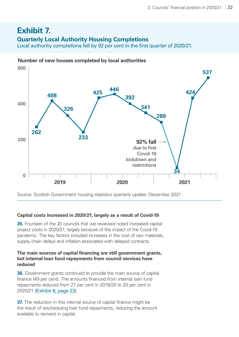## <span id="page-21-0"></span>**Exhibit 7.**

#### **Quarterly Local Authority Housing Completions**

Local authority completions fell by 92 per cent in the first quarter of 2020/21.



#### **Number of new houses completed by local authorities**

Source: Scottish Government housing statistics quarterly update: December 2021

#### **Capital costs increased in 2020/21, largely as a result of Covid-19**

**35.** Fourteen of the 20 councils that we reviewed noted increased capital project costs in 2020/21, largely because of the impact of the Covid-19 pandemic. The key factors included increases in the cost of raw materials, supply chain delays and inflation associated with delayed contracts.

#### **The main sources of capital financing are still government grants, but internal loan fund repayments from council services have reduced**

**36.** Government grants continued to provide the main source of capital finance (49 per cent). The amounts financed from internal loan fund repayments reduced from 27 per cent in 2019/20 to 20 per cent in 2020/21 [\(Exhibit 8, page 23\)](#page-22-0).

**37.** The reduction in this internal source of capital finance might be the result of rescheduling loan fund repayments, reducing the amount available to reinvest in capital.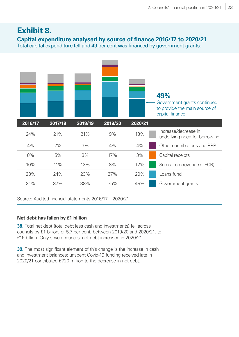#### <span id="page-22-0"></span>**Exhibit 8. Capital expenditure analysed by source of finance 2016/17 to 2020/21** Total capital expenditure fell and 49 per cent was financed by government grants.



Source: Audited financial statements 2016/17 – 2020/21

#### **Net debt has fallen by £1 billion**

**38.** Total net debt (total debt less cash and investments) fell across councils by £1 billion, or 5.7 per cent, between 2019/20 and 2020/21, to £16 billion. Only seven councils' net debt increased in 2020/21.

**39.** The most significant element of this change is the increase in cash and investment balances: unspent Covid-19 funding received late in 2020/21 contributed £720 million to the decrease in net debt.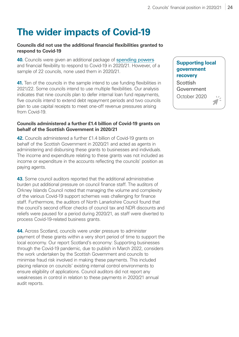## **The wider impacts of Covid-19**

#### **Councils did not use the additional financial flexibilities granted to respond to Covid-19**

**40.** Councils were given an additional package of [spending powers](https://www.gov.scot/news/supporting-local-government-recovery/)and financial flexibility to respond to Covid-19 in 2020/21. However, of a sample of 22 councils, none used them in 2020/21.

**41.** Ten of the councils in the sample intend to use funding flexibilities in 2021/22. Some councils intend to use multiple flexibilities. Our analysis indicates that nine councils plan to defer internal loan fund repayments, five councils intend to extend debt repayment periods and two councils plan to use capital receipts to meet one-off revenue pressures arising from Covid-19.

#### **Councils administered a further £1.4 billion of Covid-19 grants on behalf of the Scottish Government in 2020/21**

**42.** Councils administered a further £1.4 billion of Covid-19 grants on behalf of the Scottish Government in 2020/21 and acted as agents in administering and disbursing these grants to businesses and individuals. The income and expenditure relating to these grants was not included as income or expenditure in the accounts reflecting the councils' position as paying agents.

**43.** Some council auditors reported that the additional administrative burden put additional pressure on council finance staff. The auditors of Orkney Islands Council noted that managing the volume and complexity of the various Covid-19 support schemes was challenging for finance staff. Furthermore, the auditors of North Lanarkshire Council found that the council's second officer checks of council tax and NDR discounts and reliefs were paused for a period during 2020/21, as staff were diverted to process Covid-19-related business grants.

**44.** Across Scotland, councils were under pressure to administer payment of these grants within a very short period of time to support the local economy. Our report Scotland's economy: Supporting businesses through the Covid-19 pandemic, due to publish in March 2022, considers the work undertaken by the Scottish Government and councils to minimise fraud risk involved in making these payments. This included placing reliance on councils' existing internal control environments to ensure eligibility of applications. Council auditors did not report any weaknesses in control in relation to these payments in 2020/21 annual audit reports.

#### **Supporting local government recover[y](http://t.ly/PFU7)**

**Scottish** Government October 2020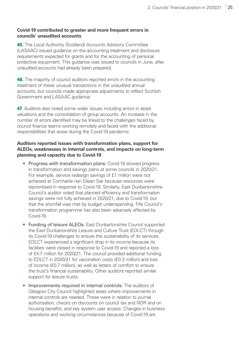#### **Covid-19 contributed to greater and more frequent errors in councils' unaudited accounts**

**45.** The Local Authority (Scotland) Accounts Advisory Committee (LASAAC) issued guidance on the accounting treatment and disclosure requirements expected for grants and for the accounting of personal protective equipment. This guidance was issued to councils in June, after unaudited accounts had already been prepared.

**46.** The majority of council auditors reported errors in the accounting treatment of these unusual transactions in the unaudited annual accounts, but councils made appropriate adjustments to reflect Scottish Government and LASAAC guidance.

**47.** Auditors also noted some wider issues including errors in asset valuations and the consolidation of group accounts. An increase in the number of errors identified may be linked to the challenges faced by council finance teams working remotely and faced with the additional responsibilities that arose during the Covid-19 pandemic.

#### **Auditors reported issues with transformation plans, support for ALEOs, weaknesses in internal controls, and impacts on long-term planning and capacity due to Covid-19**

- Progress with transformation plans: Covid-19 slowed progress in transformation and savings plans at some councils in 2020/21. For example, service redesign savings of £1 million were not achieved at Comhairle nan Eilean Siar because resources were reprioritised in response to Covid-19. Similarly, East Dunbartonshire Council's auditor noted that planned efficiency and transformation savings were not fully achieved in 2020/21, due to Covid-19, but that the shortfall was met by budget underspending. Fife Council's transformation programme has also been adversely affected by Covid-19.
- Funding of leisure ALEOs: East Dunbartonshire Council supported the East Dunbartonshire Leisure and Culture Trust (EDLCT) through its Covid-19 challenges to ensure the sustainability of its services. EDLCT experienced a significant drop in its income because its facilities were closed in response to Covid-19 and reported a loss of £4.7 million for 2020/21. The council provided additional funding to EDLCT in 2020/21 for vaccination costs (£0.3 million) and loss of income (£0.7 million), as well as letters of comfort to ensure the trust's financial sustainability. Other auditors reported similar support for leisure trusts.
- Improvements required in internal controls: The auditors of Glasgow City Council highlighted areas where improvements in internal controls are needed. These were in relation to journal authorisation, checks on discounts on council tax and NDR and on housing benefits, and key system user access. Changes in business operations and working circumstances because of Covid-19 are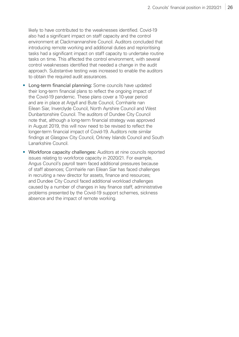likely to have contributed to the weaknesses identified. Covid-19 also had a significant impact on staff capacity and the control environment at Clackmannanshire Council. Auditors concluded that introducing remote working and additional duties and reprioritising tasks had a significant impact on staff capacity to undertake routine tasks on time. This affected the control environment, with several control weaknesses identified that needed a change in the audit approach. Substantive testing was increased to enable the auditors to obtain the required audit assurances.

- Long-term financial planning: Some councils have updated their long-term financial plans to reflect the ongoing impact of the Covid-19 pandemic. These plans cover a 10-year period and are in place at Argyll and Bute Council, Comhairle nan Eilean Siar, Inverclyde Council, North Ayrshire Council and West Dunbartonshire Council. The auditors of Dundee City Council note that, although a long-term financial strategy was approved in August 2019, this will now need to be revised to reflect the longer-term financial impact of Covid-19. Auditors note similar findings at Glasgow City Council, Orkney Islands Council and South Lanarkshire Council.
- Workforce capacity challenges: Auditors at nine councils reported issues relating to workforce capacity in 2020/21. For example, Angus Council's payroll team faced additional pressures because of staff absences; Comhairle nan Eilean Siar has faced challenges in recruiting a new director for assets, finance and resources; and Dundee City Council faced additional workload challenges caused by a number of changes in key finance staff, administrative problems presented by the Covid-19 support schemes, sickness absence and the impact of remote working.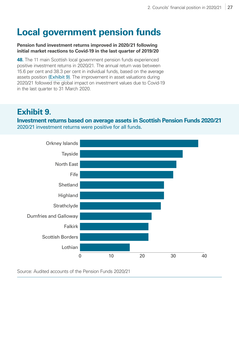## **Local government pension funds**

#### **Pension fund investment returns improved in 2020/21 following initial market reactions to Covid-19 in the last quarter of 2019/20**

**48.** The 11 main Scottish local government pension funds experienced positive investment returns in 2020/21. The annual return was between 15.6 per cent and 38.3 per cent in individual funds, based on the average assets position [\(Exhibit 9\)](#page-26-0). The improvement in asset valuations during 2020/21 followed the global impact on investment values due to Covid-19 in the last quarter to 31 March 2020.

## <span id="page-26-0"></span>**Exhibit 9.**

**Investment returns based on average assets in Scottish Pension Funds 2020/21** 2020/21 investment returns were positive for all funds.



Source: Audited accounts of the Pension Funds 2020/21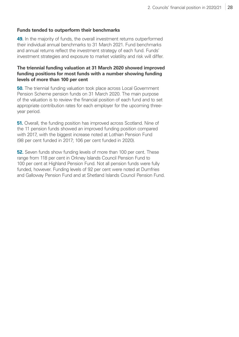#### **Funds tended to outperform their benchmarks**

**49.** In the majority of funds, the overall investment returns outperformed their individual annual benchmarks to 31 March 2021. Fund benchmarks and annual returns reflect the investment strategy of each fund. Funds' investment strategies and exposure to market volatility and risk will differ.

#### **The triennial funding valuation at 31 March 2020 showed improved funding positions for most funds with a number showing funding levels of more than 100 per cent**

**50.** The triennial funding valuation took place across Local Government Pension Scheme pension funds on 31 March 2020. The main purpose of the valuation is to review the financial position of each fund and to set appropriate contribution rates for each employer for the upcoming threeyear period.

**51.** Overall, the funding position has improved across Scotland. Nine of the 11 pension funds showed an improved funding position compared with 2017, with the biggest increase noted at Lothian Pension Fund (98 per cent funded in 2017; 106 per cent funded in 2020).

**52.** Seven funds show funding levels of more than 100 per cent. These range from 118 per cent in Orkney Islands Council Pension Fund to 100 per cent at Highland Pension Fund. Not all pension funds were fully funded, however. Funding levels of 92 per cent were noted at Dumfries and Galloway Pension Fund and at Shetland Islands Council Pension Fund.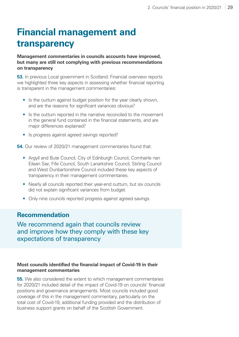## **Financial management and transparency**

**Management commentaries in councils accounts have improved, but many are still not complying with previous recommendations on transparency**

**53.** In previous Local government in Scotland: Financial overview reports we highlighted three key aspects in assessing whether financial reporting is transparent in the management commentaries:

- Is the outturn against budget position for the year clearly shown, and are the reasons for significant variances obvious?
- Is the outturn reported in the narrative reconciled to the movement in the general fund contained in the financial statements, and are major differences explained?
- Is progress against agreed savings reported?

**54.** Our review of 2020/21 management commentaries found that:

- Argyll and Bute Council, City of Edinburgh Council, Comhairle nan Eilean Siar, Fife Council, South Lanarkshire Council, Stirling Council and West Dunbartonshire Council included these key aspects of transparency in their management commentaries.
- Nearly all councils reported their year-end outturn, but six councils did not explain significant variances from budget.
- Only nine councils reported progress against agreed savings.

#### **Recommendation**

We recommend again that councils review and improve how they comply with these key expectations of transparency

#### **Most councils identified the financial impact of Covid-19 in their management commentaries**

**55.** We also considered the extent to which management commentaries for 2020/21 included detail of the impact of Covid-19 on councils' financial positions and governance arrangements. Most councils included good coverage of this in the management commentary, particularly on the total cost of Covid-19, additional funding provided and the distribution of business support grants on behalf of the Scottish Government.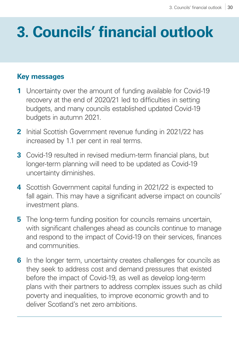## <span id="page-29-0"></span>**3. Councils' financial outlook**

## **Key messages**

- **1** Uncertainty over the amount of funding available for Covid-19 recovery at the end of 2020/21 led to difficulties in setting budgets, and many councils established updated Covid-19 budgets in autumn 2021.
- **2** Initial Scottish Government revenue funding in 2021/22 has increased by 1.1 per cent in real terms.
- **3** Covid-19 resulted in revised medium-term financial plans, but longer-term planning will need to be updated as Covid-19 uncertainty diminishes.
- **4** Scottish Government capital funding in 2021/22 is expected to fall again. This may have a significant adverse impact on councils' investment plans.
- **5** The long-term funding position for councils remains uncertain, with significant challenges ahead as councils continue to manage and respond to the impact of Covid-19 on their services, finances and communities.
- **6** In the longer term, uncertainty creates challenges for councils as they seek to address cost and demand pressures that existed before the impact of Covid-19, as well as develop long-term plans with their partners to address complex issues such as child poverty and inequalities, to improve economic growth and to deliver Scotland's net zero ambitions.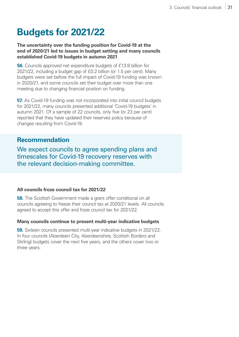## **Budgets for 2021/22**

**The uncertainty over the funding position for Covid-19 at the end of 2020/21 led to issues in budget setting and many councils established Covid-19 budgets in autumn 2021**

**56.** Councils approved net expenditure budgets of £13.8 billion for 2021/22, including a budget gap of £0.2 billion (or 1.5 per cent). Many budgets were set before the full impact of Covid-19 funding was known in 2020/21, and some councils set their budget over more than one meeting due to changing financial position on funding.

**57.** As Covid-19 funding was not incorporated into initial council budgets for 2021/22, many councils presented additional 'Covid-19 budgets' in autumn 2021. Of a sample of 22 councils, only five (or 23 per cent) reported that they have updated their reserves policy because of changes resulting from Covid-19.

#### **Recommendation**

We expect councils to agree spending plans and timescales for Covid‑19 recovery reserves with the relevant decision-making committee.

#### **All councils froze council tax for 2021/22**

**58.** The Scottish Government made a grant offer conditional on all councils agreeing to freeze their council tax at 2020/21 levels. All councils agreed to accept this offer and froze council tax for 2021/22.

#### **Many councils continue to present multi-year indicative budgets**

**59.** Sixteen councils presented multi-year indicative budgets in 2021/22. In four councils (Aberdeen City, Aberdeenshire, Scottish Borders and Stirling) budgets cover the next five years, and the others cover two or three years.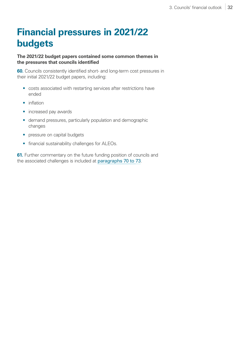## **Financial pressures in 2021/22 budgets**

#### **The 2021/22 budget papers contained some common themes in the pressures that councils identified**

**60.** Councils consistently identified short- and long-term cost pressures in their initial 2021/22 budget papers, including:

- costs associated with restarting services after restrictions have ended
- inflation
- increased pay awards
- demand pressures, particularly population and demographic changes
- pressure on capital budgets
- financial sustainability challenges for ALEOs.

**61.** Further commentary on the future funding position of councils and the associated challenges is included at [paragraphs 70 to](#page-35-0) [73](#page-35-1).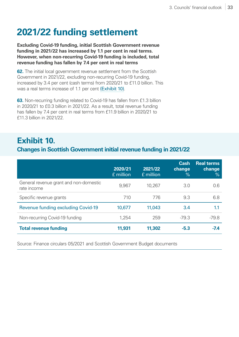## **2021/22 funding settlement**

**Excluding Covid-19 funding, initial Scottish Government revenue funding in 2021/22 has increased by 1.1 per cent in real terms. However, when non-recurring Covid-19 funding is included, total revenue funding has fallen by 7.4 per cent in real terms** 

**62.** The initial local government revenue settlement from the Scottish Government in 2021/22, excluding non-recurring Covid-19 funding, increased by 3.4 per cent (cash terms) from 2020/21 to £11.0 billion. This was a real terms increase of 1.1 per cent [\(Exhibit 10\)](#page-32-0).

**63.** Non-recurring funding related to Covid-19 has fallen from £1.3 billion in 2020/21 to £0.3 billion in 2021/22. As a result, total revenue funding has fallen by 7.4 per cent in real terms from £11.9 billion in 2020/21 to £11.3 billion in 2021/22.

### <span id="page-32-0"></span>**Exhibit 10.**

#### **Changes in Scottish Government initial revenue funding in 2021/22**

|                                                       | 2020/21<br>£ million | 2021/22<br>£ million | <b>Cash</b><br>change<br>$\frac{9}{6}$ | <b>Real terms</b><br>change<br>$\frac{9}{6}$ |
|-------------------------------------------------------|----------------------|----------------------|----------------------------------------|----------------------------------------------|
| General revenue grant and non-domestic<br>rate income | 9,967                | 10,267               | 3.0                                    | 0.6                                          |
| Specific revenue grants                               | 710                  | 776                  | 9.3                                    | 6.8                                          |
| <b>Revenue funding excluding Covid-19</b>             | 10,677               | 11,043               | 3.4                                    | 1.1                                          |
| Non-recurring Covid-19 funding                        | 1,254                | 259                  | $-79.3$                                | $-79.8$                                      |
| <b>Total revenue funding</b>                          | 11,931               | 11,302               | $-5.3$                                 | $-7.4$                                       |

Source: Finance circulars 05/2021 and Scottish Government Budget documents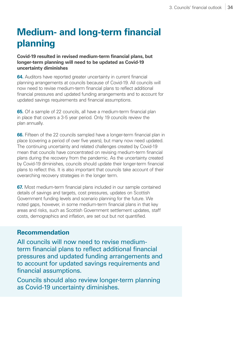## **Medium- and long-term financial planning**

#### **Covid-19 resulted in revised medium-term financial plans, but longer-term planning will need to be updated as Covid-19 uncertainty diminishes**

**64.** Auditors have reported greater uncertainty in current financial planning arrangements at councils because of Covid-19. All councils will now need to revise medium-term financial plans to reflect additional financial pressures and updated funding arrangements and to account for updated savings requirements and financial assumptions.

**65.** Of a sample of 22 councils, all have a medium-term financial plan in place that covers a 3-5 year period. Only 19 councils review the plan annually.

**66.** Fifteen of the 22 councils sampled have a longer-term financial plan in place (covering a period of over five years), but many now need updated. The continuing uncertainty and related challenges created by Covid-19 mean that councils have concentrated on revising medium-term financial plans during the recovery from the pandemic. As the uncertainty created by Covid-19 diminishes, councils should update their longer-term financial plans to reflect this. It is also important that councils take account of their overarching recovery strategies in the longer term.

**67.** Most medium-term financial plans included in our sample contained details of savings and targets, cost pressures, updates on Scottish Government funding levels and scenario planning for the future. We noted gaps, however, in some medium-term financial plans in that key areas and risks, such as Scottish Government settlement updates, staff costs, demographics and inflation, are set out but not quantified.

#### **Recommendation**

All councils will now need to revise mediumterm financial plans to reflect additional financial pressures and updated funding arrangements and to account for updated savings requirements and financial assumptions.

Councils should also review longer-term planning as Covid‑19 uncertainty diminishes.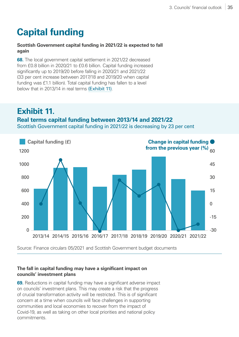## **Capital funding**

#### **Scottish Government capital funding in 2021/22 is expected to fall again**

**68.** The local government capital settlement in 2021/22 decreased from £0.8 billion in 2020/21 to £0.6 billion. Capital funding increased significantly up to 2019/20 before falling in 2020/21 and 2021/22 (33 per cent increase between 2017/18 and 2019/20 when capital funding was £1.1 billion). Total capital funding has fallen to a level below that in 2013/14 in real terms [\(Exhibit 11\)](#page-34-0).

### <span id="page-34-0"></span>**Exhibit 11.**

#### **Real terms capital funding between 2013/14 and 2021/22**

Scottish Government capital funding in 2021/22 is decreasing by 23 per cent



Source: Finance circulars 05/2021 and Scottish Government budget documents

#### **The fall in capital funding may have a significant impact on councils' investment plans**

**69.** Reductions in capital funding may have a significant adverse impact on councils' investment plans. This may create a risk that the progress of crucial transformation activity will be restricted. This is of significant concern at a time when councils will face challenges in supporting communities and local economies to recover from the impact of Covid-19, as well as taking on other local priorities and national policy commitments.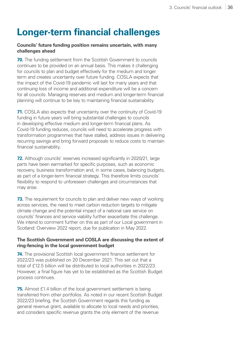## **Longer-term financial challenges**

#### **Councils' future funding position remains uncertain, with many challenges ahead**

<span id="page-35-0"></span>**70.** The funding settlement from the Scottish Government to councils continues to be provided on an annual basis. This makes it challenging for councils to plan and budget effectively for the medium and longer term and creates uncertainty over future funding. COSLA expects that the impact of the Covid-19 pandemic will last for many years and that continuing loss of income and additional expenditure will be a concern for all councils. Managing reserves and medium and longer-term financial planning will continue to be key to maintaining financial sustainability.

**71.** COSLA also expects that uncertainty over the continuity of Covid-19 funding in future years will bring substantial challenges to councils in developing effective medium and longer-term financial plans. As Covid-19 funding reduces, councils will need to accelerate progress with transformation programmes that have stalled, address issues in delivering recurring savings and bring forward proposals to reduce costs to maintain financial sustainability.

**72.** Although councils' reserves increased significantly in 2020/21, large parts have been earmarked for specific purposes, such as economic recovery, business transformation and, in some cases, balancing budgets, as part of a longer-term financial strategy. This therefore limits councils' flexibility to respond to unforeseen challenges and circumstances that may arise.

<span id="page-35-1"></span>**73.** The requirement for councils to plan and deliver new ways of working across services, the need to meet carbon reduction targets to mitigate climate change and the potential impact of a national care service on councils' finances and service viability further exacerbate this challenge. We intend to comment further on this as part of our Local government in Scotland: Overview 2022 report, due for publication in May 2022.

#### **The Scottish Government and COSLA are discussing the extent of ring-fencing in the local government budget**

**74.** The provisional Scottish local government finance settlement for 2022/23 was published on 20 December 2021. This set out that a total of £12.5 billion will be distributed to local authorities in 2022/23. However, a final figure has yet to be established as the Scottish Budget process continues.

**75.** Almost £1.4 billion of the local government settlement is being transferred from other portfolios. As noted in our recent Scottish Budget 2022/23 briefing, the Scottish Government regards this funding as general revenue grant, available to allocate to local needs and priorities, and considers specific revenue grants the only element of the revenue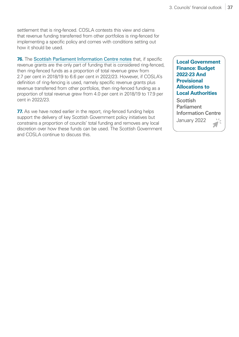settlement that is ring-fenced. COSLA contests this view and claims that revenue funding transferred from other portfolios is ring-fenced for implementing a specific policy and comes with conditions setting out how it should be used.

**76.** The [Scottish Parliament Information Centre notes](http://t.ly/PFU7) that, if specific revenue grants are the only part of funding that is considered ring-fenced, then ring-fenced funds as a proportion of total revenue grew from 2.7 per cent in 2018/19 to 6.6 per cent in 2022/23. However, if COSLA's definition of ring-fencing is used, namely specific revenue grants plus revenue transferred from other portfolios, then ring-fenced funding as a proportion of total revenue grew from 4.0 per cent in 2018/19 to 17.9 per cent in 2022/23.

**77.** As we have noted earlier in the report, ring-fenced funding helps support the delivery of key Scottish Government policy initiatives but constrains a proportion of councils' total funding and removes any local discretion over how these funds can be used. The Scottish Government and COSLA continue to discuss this.

**[Local Government](http://t.ly/PFU7)  [Finance: Budget](http://t.ly/PFU7)  [2022-23 And](http://t.ly/PFU7)  [Provisional](http://t.ly/PFU7)  [Allocations to](http://t.ly/PFU7)  [Local Authorities](http://t.ly/PFU7)**

**Scottish** Parliament Information Centre January 2022